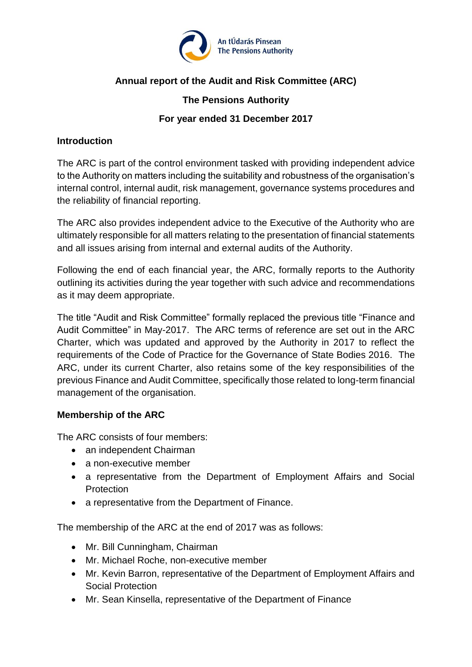

# **Annual report of the Audit and Risk Committee (ARC)**

## **The Pensions Authority**

## **For year ended 31 December 2017**

#### **Introduction**

The ARC is part of the control environment tasked with providing independent advice to the Authority on matters including the suitability and robustness of the organisation's internal control, internal audit, risk management, governance systems procedures and the reliability of financial reporting.

The ARC also provides independent advice to the Executive of the Authority who are ultimately responsible for all matters relating to the presentation of financial statements and all issues arising from internal and external audits of the Authority.

Following the end of each financial year, the ARC, formally reports to the Authority outlining its activities during the year together with such advice and recommendations as it may deem appropriate.

The title "Audit and Risk Committee" formally replaced the previous title "Finance and Audit Committee" in May-2017. The ARC terms of reference are set out in the ARC Charter, which was updated and approved by the Authority in 2017 to reflect the requirements of the Code of Practice for the Governance of State Bodies 2016. The ARC, under its current Charter, also retains some of the key responsibilities of the previous Finance and Audit Committee, specifically those related to long-term financial management of the organisation.

## **Membership of the ARC**

The ARC consists of four members:

- an independent Chairman
- a non-executive member
- a representative from the Department of Employment Affairs and Social Protection
- a representative from the Department of Finance.

The membership of the ARC at the end of 2017 was as follows:

- Mr. Bill Cunningham, Chairman
- Mr. Michael Roche, non-executive member
- Mr. Kevin Barron, representative of the Department of Employment Affairs and Social Protection
- Mr. Sean Kinsella, representative of the Department of Finance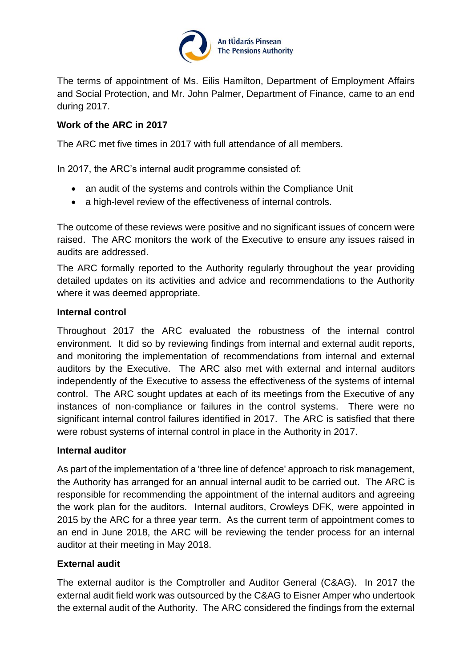

The terms of appointment of Ms. Eilis Hamilton, Department of Employment Affairs and Social Protection, and Mr. John Palmer, Department of Finance, came to an end during 2017.

# **Work of the ARC in 2017**

The ARC met five times in 2017 with full attendance of all members.

In 2017, the ARC's internal audit programme consisted of:

- an audit of the systems and controls within the Compliance Unit
- a high-level review of the effectiveness of internal controls.

The outcome of these reviews were positive and no significant issues of concern were raised. The ARC monitors the work of the Executive to ensure any issues raised in audits are addressed.

The ARC formally reported to the Authority regularly throughout the year providing detailed updates on its activities and advice and recommendations to the Authority where it was deemed appropriate.

## **Internal control**

Throughout 2017 the ARC evaluated the robustness of the internal control environment. It did so by reviewing findings from internal and external audit reports, and monitoring the implementation of recommendations from internal and external auditors by the Executive. The ARC also met with external and internal auditors independently of the Executive to assess the effectiveness of the systems of internal control. The ARC sought updates at each of its meetings from the Executive of any instances of non-compliance or failures in the control systems. There were no significant internal control failures identified in 2017. The ARC is satisfied that there were robust systems of internal control in place in the Authority in 2017.

#### **Internal auditor**

As part of the implementation of a 'three line of defence' approach to risk management, the Authority has arranged for an annual internal audit to be carried out. The ARC is responsible for recommending the appointment of the internal auditors and agreeing the work plan for the auditors. Internal auditors, Crowleys DFK, were appointed in 2015 by the ARC for a three year term. As the current term of appointment comes to an end in June 2018, the ARC will be reviewing the tender process for an internal auditor at their meeting in May 2018.

## **External audit**

The external auditor is the Comptroller and Auditor General (C&AG). In 2017 the external audit field work was outsourced by the C&AG to Eisner Amper who undertook the external audit of the Authority. The ARC considered the findings from the external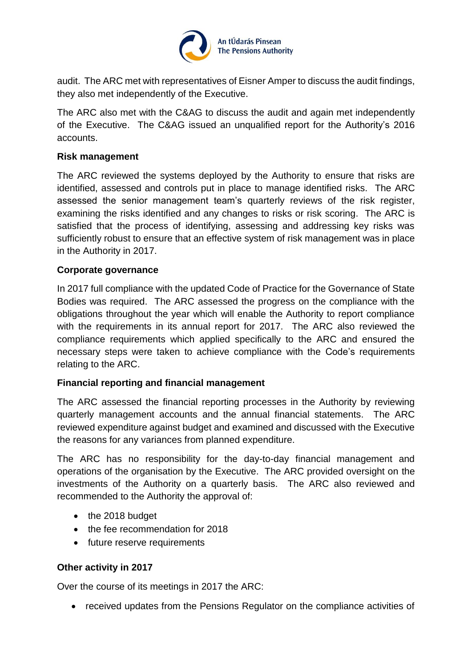

audit. The ARC met with representatives of Eisner Amper to discuss the audit findings, they also met independently of the Executive.

The ARC also met with the C&AG to discuss the audit and again met independently of the Executive. The C&AG issued an unqualified report for the Authority's 2016 accounts.

#### **Risk management**

The ARC reviewed the systems deployed by the Authority to ensure that risks are identified, assessed and controls put in place to manage identified risks. The ARC assessed the senior management team's quarterly reviews of the risk register, examining the risks identified and any changes to risks or risk scoring. The ARC is satisfied that the process of identifying, assessing and addressing key risks was sufficiently robust to ensure that an effective system of risk management was in place in the Authority in 2017.

#### **Corporate governance**

In 2017 full compliance with the updated Code of Practice for the Governance of State Bodies was required. The ARC assessed the progress on the compliance with the obligations throughout the year which will enable the Authority to report compliance with the requirements in its annual report for 2017. The ARC also reviewed the compliance requirements which applied specifically to the ARC and ensured the necessary steps were taken to achieve compliance with the Code's requirements relating to the ARC.

#### **Financial reporting and financial management**

The ARC assessed the financial reporting processes in the Authority by reviewing quarterly management accounts and the annual financial statements. The ARC reviewed expenditure against budget and examined and discussed with the Executive the reasons for any variances from planned expenditure.

The ARC has no responsibility for the day-to-day financial management and operations of the organisation by the Executive. The ARC provided oversight on the investments of the Authority on a quarterly basis. The ARC also reviewed and recommended to the Authority the approval of:

- the 2018 budget
- the fee recommendation for 2018
- future reserve requirements

#### **Other activity in 2017**

Over the course of its meetings in 2017 the ARC:

• received updates from the Pensions Regulator on the compliance activities of